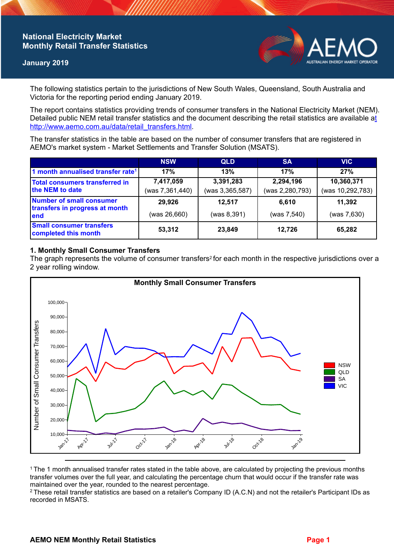## **National Electricity Market Monthly Retail Transfer Statistics**

#### **January 2019**



The following statistics pertain to the jurisdictions of New South Wales, Queensland, South Australia and Victoria for the reporting period ending January 2019.

The report contains statistics providing trends of consumer transfers in the National Electricity Market (NEM). Detailed public NEM retail transfer statistics and the document describing the retail statistics are available a[t](http://www.aemo.com.au/data/retail_transfers.html)  http://www.aemo.com.au/data/retail\_transfers.html

The transfer statistics in the table are based on the number of consumer transfers that are registered in AEMO's market system - Market Settlements and Transfer Solution (MSATS).

|                                                                    | <b>NSW</b>                   | <b>QLD</b>                   | <b>SA</b>                    | <b>VIC</b>                     |
|--------------------------------------------------------------------|------------------------------|------------------------------|------------------------------|--------------------------------|
| 1 month annualised transfer rate <sup>1</sup>                      | 17%                          | 13%                          | 17%                          | 27%                            |
| <b>Total consumers transferred in</b><br>the NEM to date           | 7,417,059<br>(was 7,361,440) | 3,391,283<br>(was 3,365,587) | 2,294,196<br>(was 2,280,793) | 10,360,371<br>(was 10,292,783) |
| Number of small consumer<br>transfers in progress at month<br>lend | 29,926<br>(was 26,660)       | 12,517<br>(was 8,391)        | 6.610<br>(was 7,540)         | 11,392<br>(was 7,630)          |
| <b>Small consumer transfers</b><br>completed this month            | 53,312                       | 23,849                       | 12.726                       | 65,282                         |

## **1. Monthly Small Consumer Transfers**

The graph represents the volume of consumer transfers<sup>2</sup> for each month in the respective jurisdictions over a 2 year rolling window.



<sup>1</sup>The 1 month annualised transfer rates stated in the table above, are calculated by projecting the previous months transfer volumes over the full year, and calculating the percentage churn that would occur if the transfer rate was maintained over the year, rounded to the nearest percentage.

<sup>2</sup> These retail transfer statistics are based on a retailer's Company ID (A.C.N) and not the retailer's Participant IDs as recorded in MSATS.